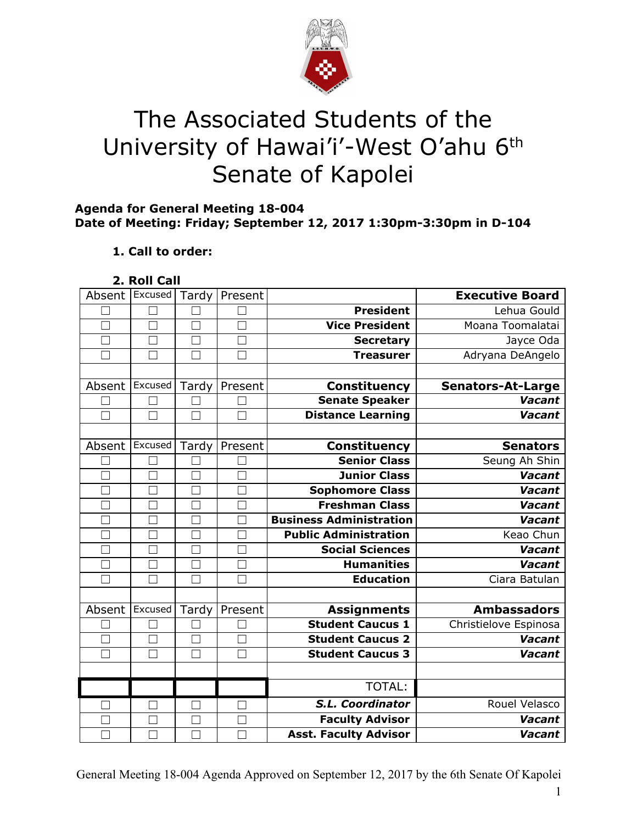

# The Associated Students of the University of Hawai'i'-West O'ahu 6<sup>th</sup> Senate of Kapolei

## **Agenda for General Meeting 18-004 Date of Meeting: Friday; September 12, 2017 1:30pm-3:30pm in D-104**

# **1. Call to order:**

**2. Roll Call**

| Absent        | Excused       | Tardy             | Present |                                | <b>Executive Board</b>   |
|---------------|---------------|-------------------|---------|--------------------------------|--------------------------|
|               |               |                   |         | <b>President</b>               | Lehua Gould              |
| П             | $\Box$        | $\Box$            | $\Box$  | <b>Vice President</b>          | Moana Toomalatai         |
| $\mathcal{L}$ | $\mathcal{L}$ | $\vert \ \ \vert$ |         | <b>Secretary</b>               | Jayce Oda                |
|               | M             | $\Box$            |         | <b>Treasurer</b>               | Adryana DeAngelo         |
|               |               |                   |         |                                |                          |
| Absent        | Excused       | Tardy             | Present | Constituency                   | <b>Senators-At-Large</b> |
|               |               |                   |         | <b>Senate Speaker</b>          | <b>Vacant</b>            |
| П             | П             | П                 |         | <b>Distance Learning</b>       | Vacant                   |
|               |               |                   |         |                                |                          |
| Absent        | Excused       | Tardy             | Present | <b>Constituency</b>            | <b>Senators</b>          |
|               |               |                   |         | <b>Senior Class</b>            | Seung Ah Shin            |
|               | ٦             | $\Box$            |         | <b>Junior Class</b>            | Vacant                   |
| П             | П             | $\Box$            |         | Sophomore Class                | <b>Vacant</b>            |
|               |               |                   |         | <b>Freshman Class</b>          | <b>Vacant</b>            |
|               | П             |                   |         | <b>Business Administration</b> | <b>Vacant</b>            |
|               |               | $\mathbf{L}$      |         | <b>Public Administration</b>   | Keao Chun                |
|               |               |                   |         | <b>Social Sciences</b>         | Vacant                   |
| $\Box$        | П             | $\Box$            | $\Box$  | <b>Humanities</b>              | Vacant                   |
| $\mathbf{I}$  | H.            | M                 |         | <b>Education</b>               | Ciara Batulan            |
|               |               |                   |         |                                |                          |
| Absent        | Excused       | Tardy             | Present | <b>Assignments</b>             | <b>Ambassadors</b>       |
|               |               |                   |         | <b>Student Caucus 1</b>        | Christielove Espinosa    |
|               | $\Box$        | $\Box$            |         | <b>Student Caucus 2</b>        | Vacant                   |
|               | $\Box$        | Г                 |         | <b>Student Caucus 3</b>        | <b>Vacant</b>            |
|               |               |                   |         |                                |                          |
|               |               |                   |         | TOTAL:                         |                          |
|               | □             | П                 | П       | <b>S.L. Coordinator</b>        | Rouel Velasco            |
|               | - 1           |                   |         | <b>Faculty Advisor</b>         | <b>Vacant</b>            |
|               |               |                   |         | <b>Asst. Faculty Advisor</b>   | Vacant                   |

General Meeting 18-004 Agenda Approved on September 12, 2017 by the 6th Senate Of Kapolei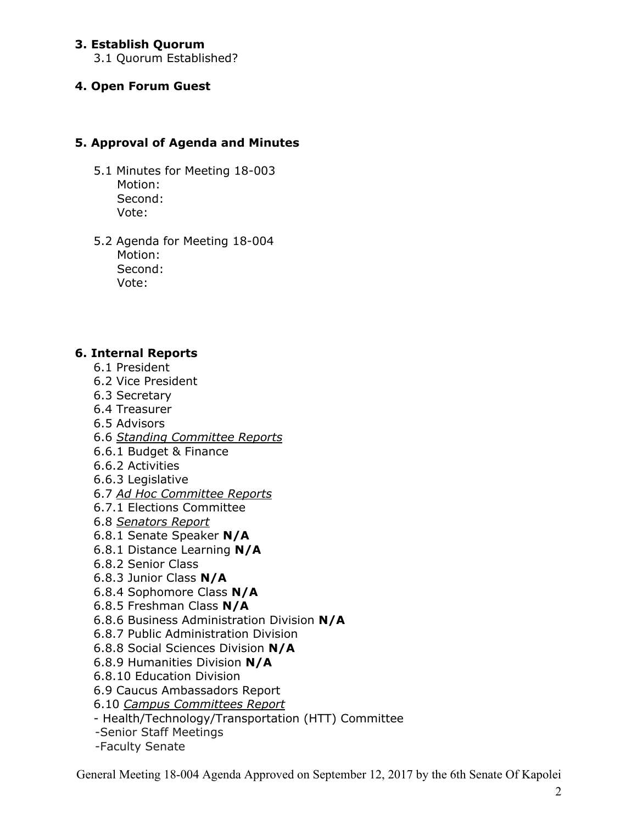## **3. Establish Quorum**

3.1 Quorum Established?

### **4. Open Forum Guest**

## **5. Approval of Agenda and Minutes**

- 5.1 Minutes for Meeting 18-003 Motion: Second: Vote:
- 5.2 Agenda for Meeting 18-004 Motion: Second: Vote:

#### **6. Internal Reports**

- 6.1 President
- 6.2 Vice President
- 6.3 Secretary
- 6.4 Treasurer
- 6.5 Advisors
- 6.6 *Standing Committee Reports*
- 6.6.1 Budget & Finance
- 6.6.2 Activities
- 6.6.3 Legislative
- 6.7 *Ad Hoc Committee Reports*
- 6.7.1 Elections Committee
- 6.8 *Senators Report*
- 6.8.1 Senate Speaker **N/A**
- 6.8.1 Distance Learning **N/A**
- 6.8.2 Senior Class
- 6.8.3 Junior Class **N/A**
- 6.8.4 Sophomore Class **N/A**
- 6.8.5 Freshman Class **N/A**
- 6.8.6 Business Administration Division **N/A**
- 6.8.7 Public Administration Division
- 6.8.8 Social Sciences Division **N/A**
- 6.8.9 Humanities Division **N/A**
- 6.8.10 Education Division
- 6.9 Caucus Ambassadors Report
- 6.10 *Campus Committees Report*
- Health/Technology/Transportation (HTT) Committee
- -Senior Staff Meetings
- -Faculty Senate

General Meeting 18-004 Agenda Approved on September 12, 2017 by the 6th Senate Of Kapolei